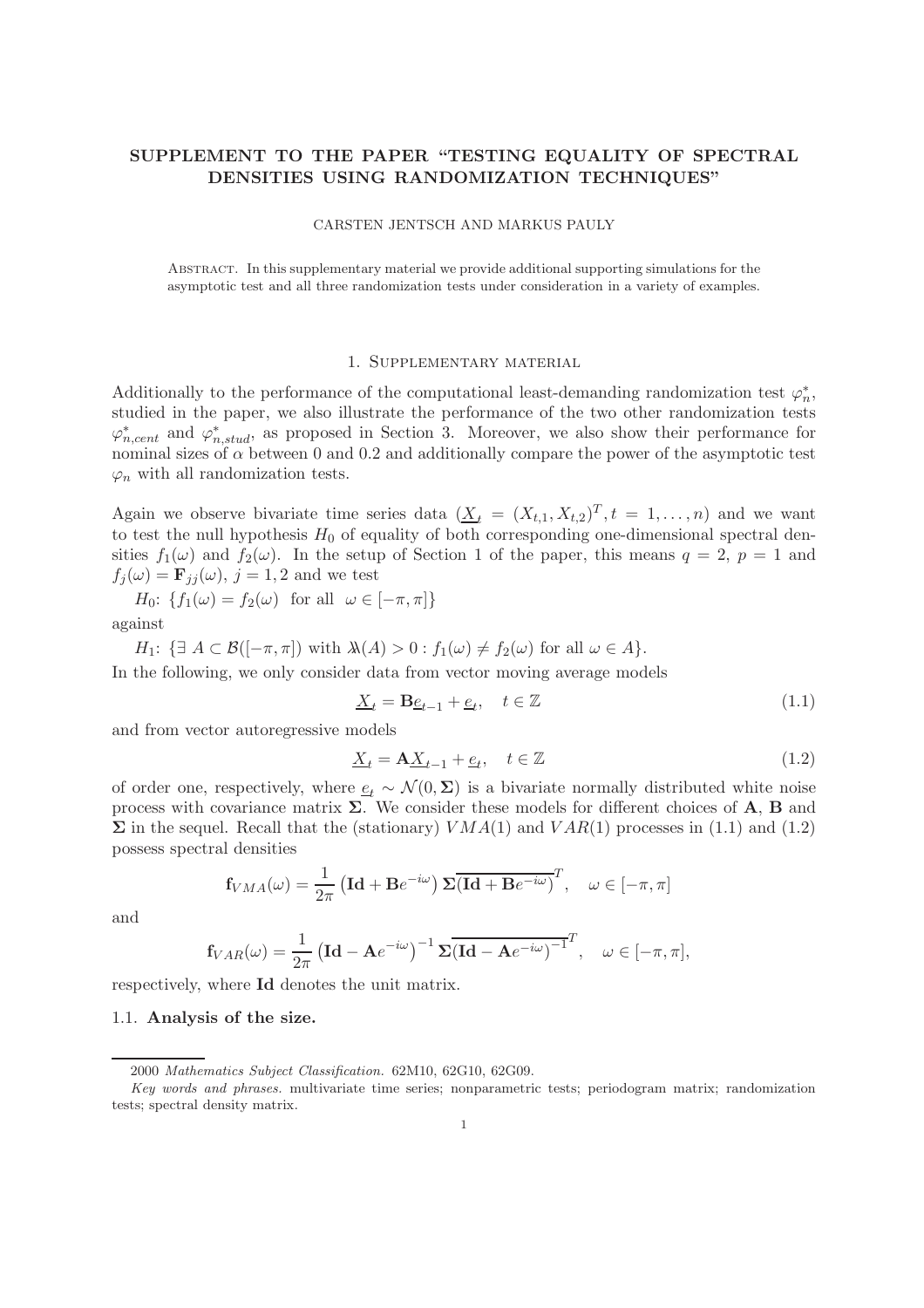# SUPPLEMENT TO THE PAPER "TESTING EQUALITY OF SPECTRAL DENSITIES USING RANDOMIZATION TECHNIQUES"

#### CARSTEN JENTSCH AND MARKUS PAULY

Abstract. In this supplementary material we provide additional supporting simulations for the asymptotic test and all three randomization tests under consideration in a variety of examples.

#### 1. Supplementary material

Additionally to the performance of the computational least-demanding randomization test  $\varphi_n^*$  $_{n}^{\ast}$ studied in the paper, we also illustrate the performance of the two other randomization tests  $\varphi_{n,cent}^*$  and  $\varphi_{n,stud}^*$ , as proposed in Section 3. Moreover, we also show their performance for nominal sizes of  $\alpha$  between 0 and 0.2 and additionally compare the power of the asymptotic test  $\varphi_n$  with all randomization tests.

Again we observe bivariate time series data  $(\underline{X}_t = (X_{t,1}, X_{t,2})^T, t = 1, \ldots, n)$  and we want to test the null hypothesis  $H_0$  of equality of both corresponding one-dimensional spectral densities  $f_1(\omega)$  and  $f_2(\omega)$ . In the setup of Section 1 of the paper, this means  $q = 2$ ,  $p = 1$  and  $f_i(\omega) = \mathbf{F}_{ij}(\omega), j = 1, 2$  and we test

 $H_0$ :  $\{f_1(\omega) = f_2(\omega) \text{ for all } \omega \in [-\pi, \pi]\}\$ against

 $H_1: \{ \exists A \subset \mathcal{B}([-\pi,\pi]) \text{ with } \lambda(A) > 0 : f_1(\omega) \neq f_2(\omega) \text{ for all } \omega \in A \}.$ 

In the following, we only consider data from vector moving average models

$$
\underline{X}_t = \mathbf{B}\underline{e}_{t-1} + \underline{e}_t, \quad t \in \mathbb{Z} \tag{1.1}
$$

and from vector autoregressive models

$$
\underline{X}_t = \mathbf{A} \underline{X}_{t-1} + \underline{e}_t, \quad t \in \mathbb{Z} \tag{1.2}
$$

of order one, respectively, where  $\underline{e}_t \sim \mathcal{N}(0, \Sigma)$  is a bivariate normally distributed white noise process with covariance matrix  $\Sigma$ . We consider these models for different choices of A, B and  $\Sigma$  in the sequel. Recall that the (stationary)  $VMA(1)$  and  $VAR(1)$  processes in (1.1) and (1.2) possess spectral densities

$$
\mathbf{f}_{VMA}(\omega) = \frac{1}{2\pi} \left( \mathbf{Id} + \mathbf{B}e^{-i\omega} \right) \mathbf{\Sigma} \overline{(\mathbf{Id} + \mathbf{B}e^{-i\omega})}^T, \quad \omega \in [-\pi, \pi]
$$

and

$$
\mathbf{f}_{VAR}(\omega) = \frac{1}{2\pi} \left( \mathbf{Id} - \mathbf{A} e^{-i\omega} \right)^{-1} \mathbf{\Sigma} \overline{\left( \mathbf{Id} - \mathbf{A} e^{-i\omega} \right)^{-1}}^T, \quad \omega \in [-\pi, \pi],
$$

respectively, where Id denotes the unit matrix.

#### 1.1. Analysis of the size.

<sup>2000</sup> Mathematics Subject Classification. 62M10, 62G10, 62G09.

Key words and phrases. multivariate time series; nonparametric tests; periodogram matrix; randomization tests; spectral density matrix.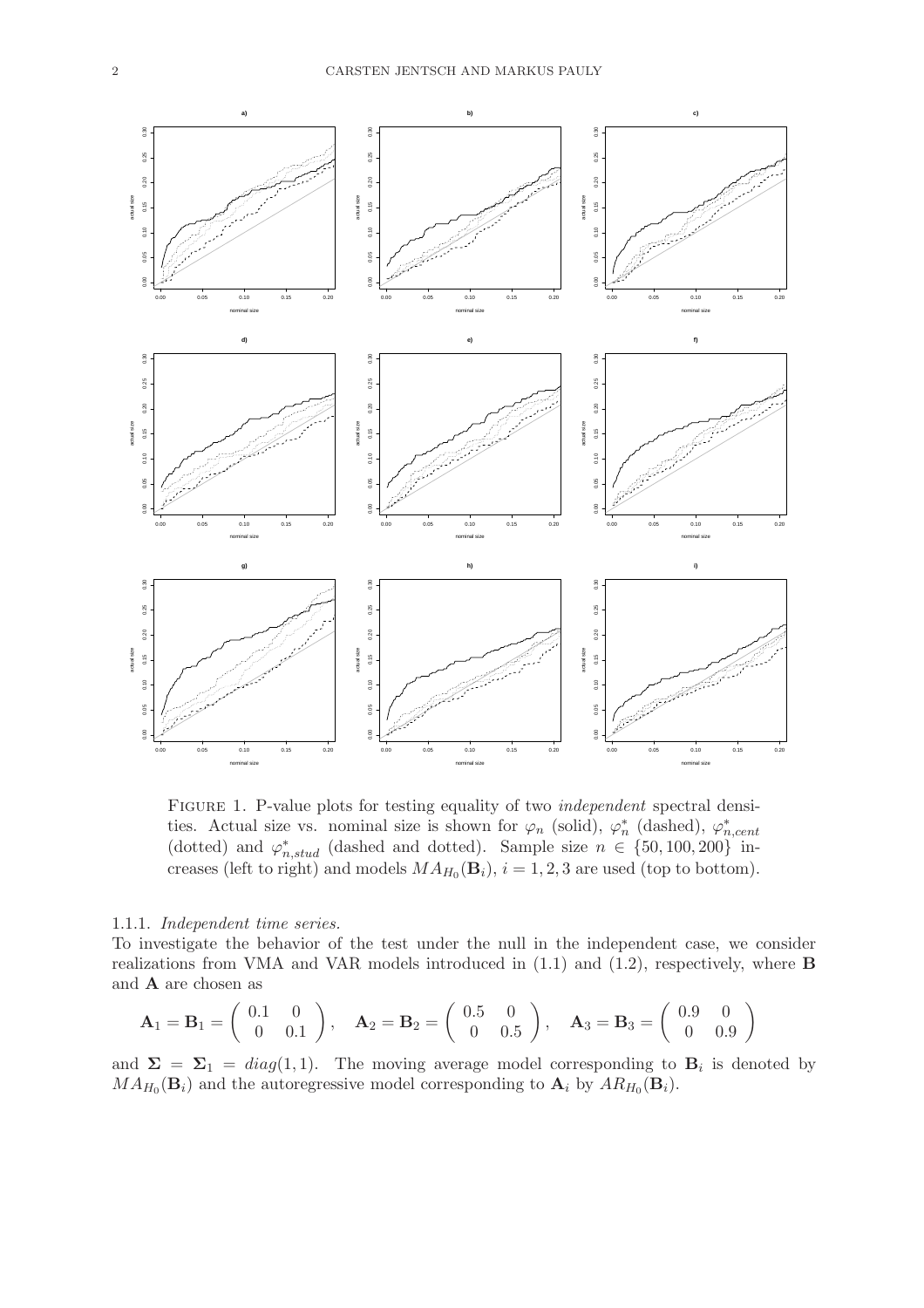

FIGURE 1. P-value plots for testing equality of two *independent* spectral densities. Actual size vs. nominal size is shown for  $\varphi_n$  (solid),  $\varphi_n^*$ \* (dashed),  $\varphi_n^*$ n,cent (dotted) and  $\varphi_{n,stud}^*$  (dashed and dotted). Sample size  $n \in \{50, 100, 200\}$  increases (left to right) and models  $MA_{H_0}(\mathbf{B}_i)$ ,  $i = 1, 2, 3$  are used (top to bottom).

### 1.1.1. Independent time series.

To investigate the behavior of the test under the null in the independent case, we consider realizations from VMA and VAR models introduced in (1.1) and (1.2), respectively, where B and A are chosen as

$$
\mathbf{A}_1 = \mathbf{B}_1 = \begin{pmatrix} 0.1 & 0 \\ 0 & 0.1 \end{pmatrix}, \quad \mathbf{A}_2 = \mathbf{B}_2 = \begin{pmatrix} 0.5 & 0 \\ 0 & 0.5 \end{pmatrix}, \quad \mathbf{A}_3 = \mathbf{B}_3 = \begin{pmatrix} 0.9 & 0 \\ 0 & 0.9 \end{pmatrix}
$$

and  $\Sigma = \Sigma_1 = diag(1,1)$ . The moving average model corresponding to  $B_i$  is denoted by  $MA_{H_0}(\mathbf{B}_i)$  and the autoregressive model corresponding to  $\mathbf{A}_i$  by  $AR_{H_0}(\mathbf{B}_i)$ .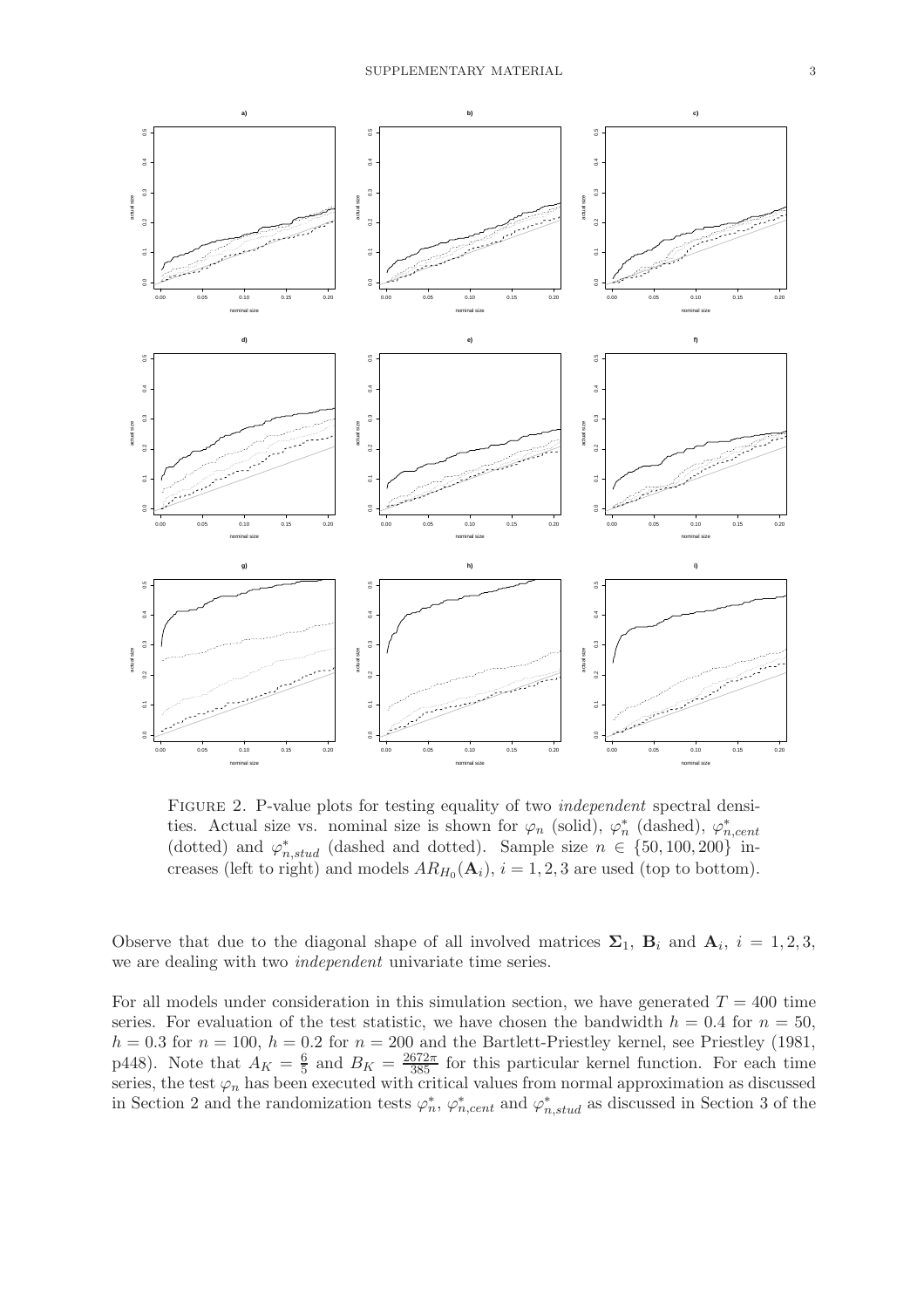

FIGURE 2. P-value plots for testing equality of two *independent* spectral densities. Actual size vs. nominal size is shown for  $\varphi_n$  (solid),  $\varphi_n^*$ \* (dashed),  $\varphi_n^*$ n,cent (dotted) and  $\varphi_{n,stud}^*$  (dashed and dotted). Sample size  $n \in \{50, 100, 200\}$  increases (left to right) and models  $AR_{H_0}(\mathbf{A}_i)$ ,  $i = 1, 2, 3$  are used (top to bottom).

Observe that due to the diagonal shape of all involved matrices  $\Sigma_1$ ,  $\mathbf{B}_i$  and  $\mathbf{A}_i$ ,  $i = 1, 2, 3$ , we are dealing with two independent univariate time series.

For all models under consideration in this simulation section, we have generated  $T = 400$  time series. For evaluation of the test statistic, we have chosen the bandwidth  $h = 0.4$  for  $n = 50$ ,  $h = 0.3$  for  $n = 100$ ,  $h = 0.2$  for  $n = 200$  and the Bartlett-Priestley kernel, see Priestley (1981, p448). Note that  $A_K = \frac{6}{5}$  $\frac{6}{5}$  and  $B_K = \frac{2672\pi}{385}$  for this particular kernel function. For each time series, the test  $\varphi_n$  has been executed with critical values from normal approximation as discussed in Section 2 and the randomization tests  $\varphi_n^*$ \*,  $\varphi_{n,cent}^*$  and  $\varphi_{n,stud}^*$  as discussed in Section 3 of the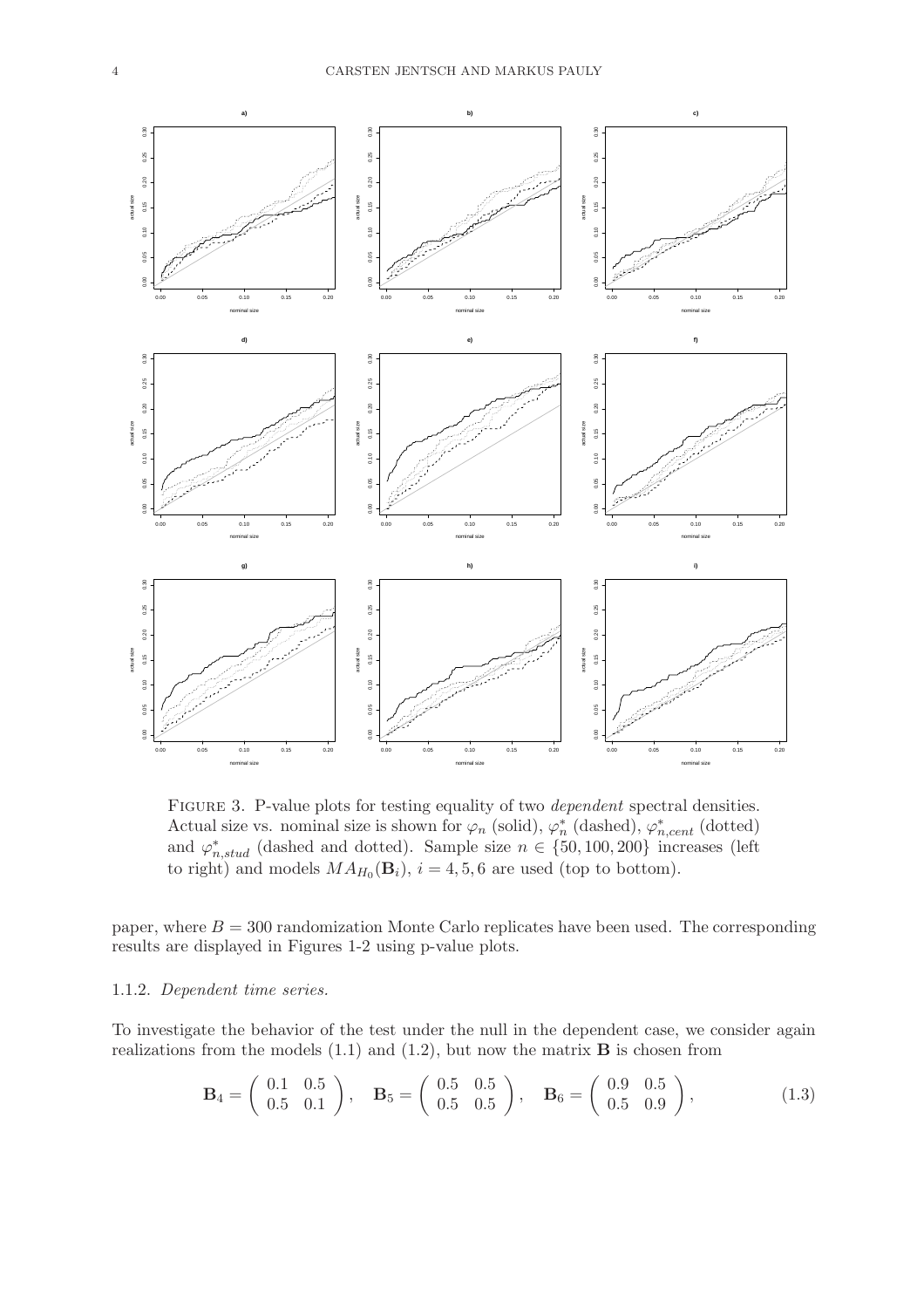

FIGURE 3. P-value plots for testing equality of two *dependent* spectral densities. Actual size vs. nominal size is shown for  $\varphi_n$  (solid),  $\varphi_n^*$  $\sum_{n=1}^{\infty}$  (dashed),  $\varphi_{n,cent}^{*}$  (dotted) and  $\varphi_{n,stud}^*$  (dashed and dotted). Sample size  $n \in \{50, 100, 200\}$  increases (left to right) and models  $MA_{H_0}(\mathbf{B}_i)$ ,  $i = 4, 5, 6$  are used (top to bottom).

paper, where  $B = 300$  randomization Monte Carlo replicates have been used. The corresponding results are displayed in Figures 1-2 using p-value plots.

## 1.1.2. Dependent time series.

To investigate the behavior of the test under the null in the dependent case, we consider again realizations from the models  $(1.1)$  and  $(1.2)$ , but now the matrix **B** is chosen from

$$
\mathbf{B}_4 = \left( \begin{array}{cc} 0.1 & 0.5 \\ 0.5 & 0.1 \end{array} \right), \quad \mathbf{B}_5 = \left( \begin{array}{cc} 0.5 & 0.5 \\ 0.5 & 0.5 \end{array} \right), \quad \mathbf{B}_6 = \left( \begin{array}{cc} 0.9 & 0.5 \\ 0.5 & 0.9 \end{array} \right), \tag{1.3}
$$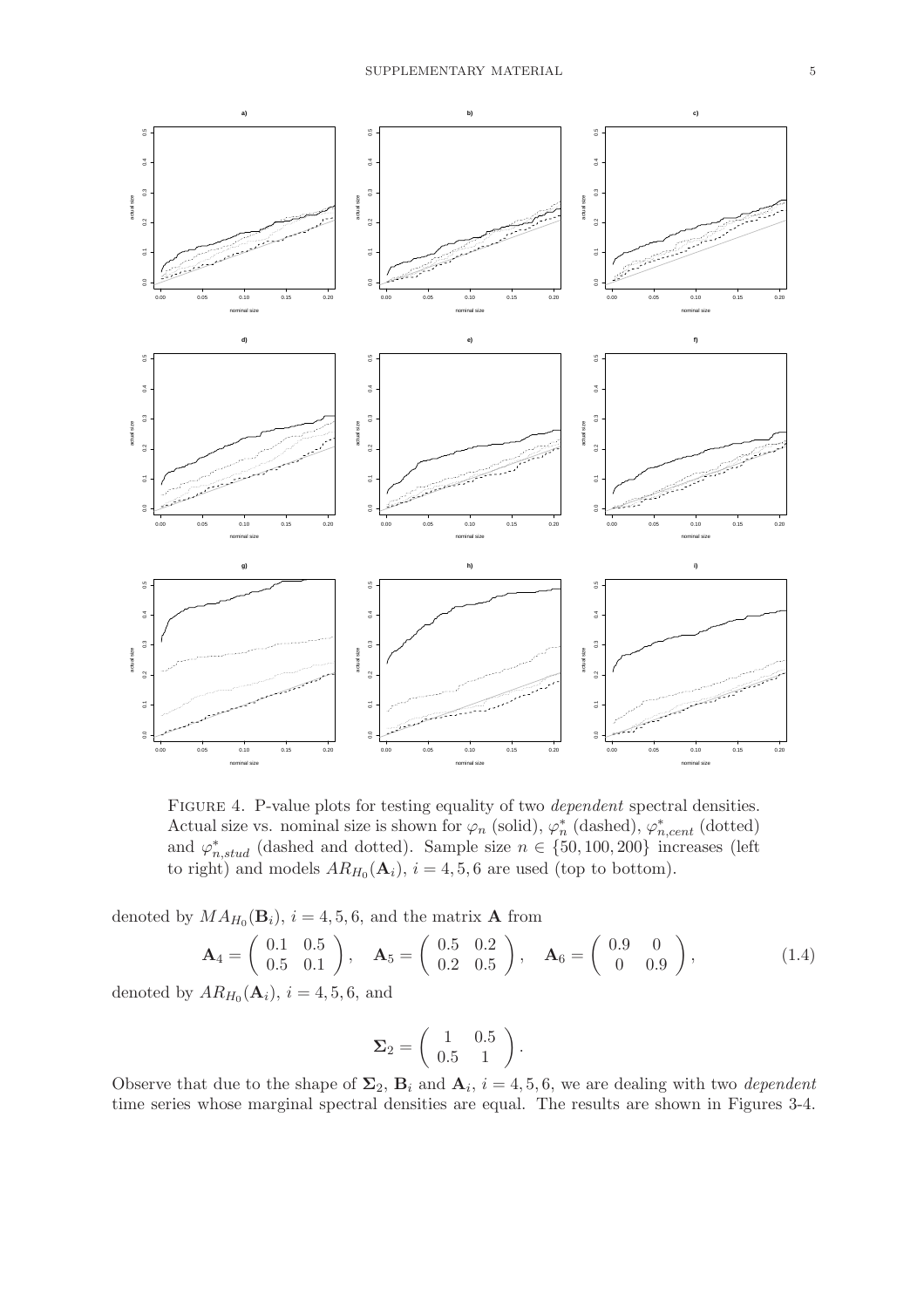

FIGURE 4. P-value plots for testing equality of two *dependent* spectral densities. Actual size vs. nominal size is shown for  $\varphi_n$  (solid),  $\varphi_n^*$  $\sum_{n=1}^{\infty}$  (dashed),  $\varphi_{n,cent}^{*}$  (dotted) and  $\varphi_{n,stud}^*$  (dashed and dotted). Sample size  $n \in \{50, 100, 200\}$  increases (left to right) and models  $AR_{H_0}(\mathbf{A}_i)$ ,  $i = 4, 5, 6$  are used (top to bottom).

denoted by  $MA_{H_0}(\mathbf{B}_i)$ ,  $i = 4, 5, 6$ , and the matrix **A** from

$$
\mathbf{A}_4 = \begin{pmatrix} 0.1 & 0.5 \\ 0.5 & 0.1 \end{pmatrix}, \quad \mathbf{A}_5 = \begin{pmatrix} 0.5 & 0.2 \\ 0.2 & 0.5 \end{pmatrix}, \quad \mathbf{A}_6 = \begin{pmatrix} 0.9 & 0 \\ 0 & 0.9 \end{pmatrix}, \tag{1.4}
$$

denoted by  $AR_{H_0}(\mathbf{A}_i)$ ,  $i = 4, 5, 6$ , and

$$
\Sigma_2 = \left(\begin{array}{cc} 1 & 0.5 \\ 0.5 & 1 \end{array}\right).
$$

Observe that due to the shape of  $\Sigma_2$ ,  $\mathbf{B}_i$  and  $\mathbf{A}_i$ ,  $i = 4, 5, 6$ , we are dealing with two *dependent* time series whose marginal spectral densities are equal. The results are shown in Figures 3-4.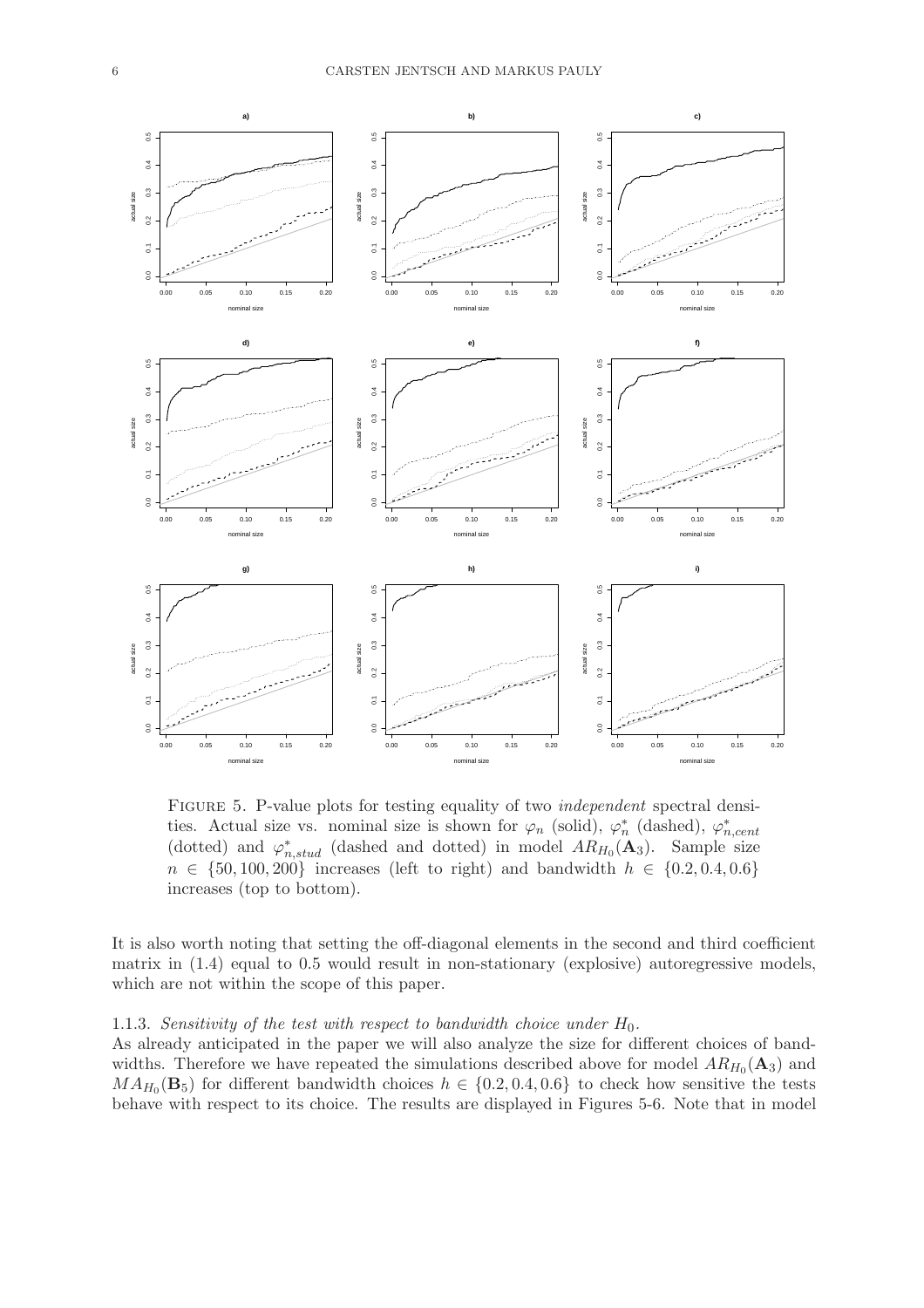

FIGURE 5. P-value plots for testing equality of two *independent* spectral densities. Actual size vs. nominal size is shown for  $\varphi_n$  (solid),  $\varphi_n^*$ \* (dashed),  $\varphi_n^*$ n,cent (dotted) and  $\varphi_{n,stud}^*$  (dashed and dotted) in model  $AR_{H_0}(\mathbf{A}_3)$ . Sample size  $n \in \{50, 100, 200\}$  increases (left to right) and bandwidth  $h \in \{0.2, 0.4, 0.6\}$ increases (top to bottom).

It is also worth noting that setting the off-diagonal elements in the second and third coefficient matrix in (1.4) equal to 0.5 would result in non-stationary (explosive) autoregressive models, which are not within the scope of this paper.

### 1.1.3. Sensitivity of the test with respect to bandwidth choice under  $H_0$ .

As already anticipated in the paper we will also analyze the size for different choices of bandwidths. Therefore we have repeated the simulations described above for model  $AR_{H_0}(A_3)$  and  $MA_{H_0}(\mathbf{B}_5)$  for different bandwidth choices  $h \in \{0.2, 0.4, 0.6\}$  to check how sensitive the tests behave with respect to its choice. The results are displayed in Figures 5-6. Note that in model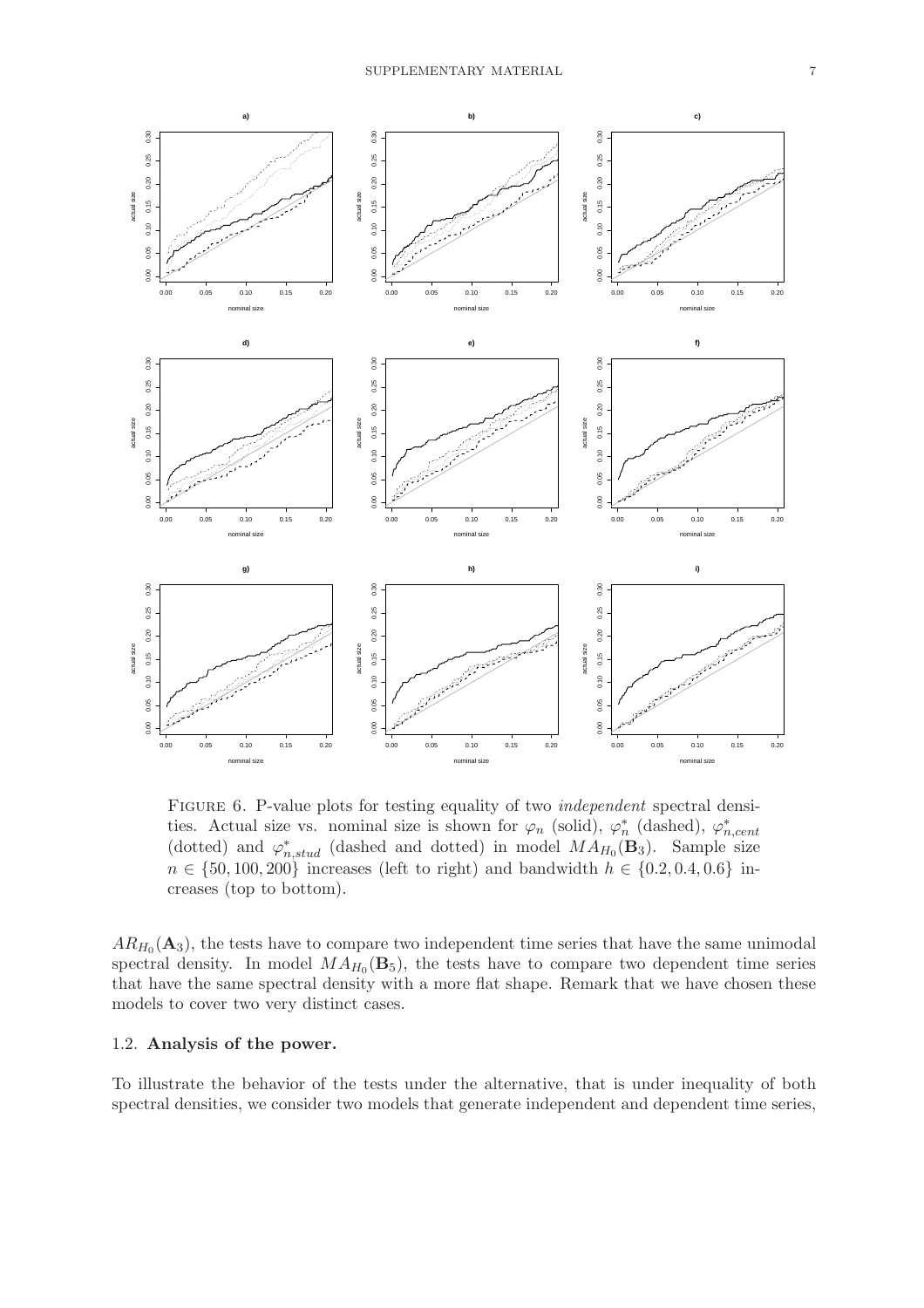

FIGURE 6. P-value plots for testing equality of two *independent* spectral densities. Actual size vs. nominal size is shown for  $\varphi_n$  (solid),  $\varphi_n^*$ \* (dashed),  $\varphi_n^*$ n,cent (dotted) and  $\varphi_{n,stud}^*$  (dashed and dotted) in model  $MA_{H_0}(\mathbf{B}_3)$ . Sample size  $n \in \{50, 100, 200\}$  increases (left to right) and bandwidth  $h \in \{0.2, 0.4, 0.6\}$  increases (top to bottom).

 $AR_{H_0}(\mathbf{A}_3)$ , the tests have to compare two independent time series that have the same unimodal spectral density. In model  $MA_{H_0}(\mathbf{B}_5)$ , the tests have to compare two dependent time series that have the same spectral density with a more flat shape. Remark that we have chosen these models to cover two very distinct cases.

## 1.2. Analysis of the power.

To illustrate the behavior of the tests under the alternative, that is under inequality of both spectral densities, we consider two models that generate independent and dependent time series,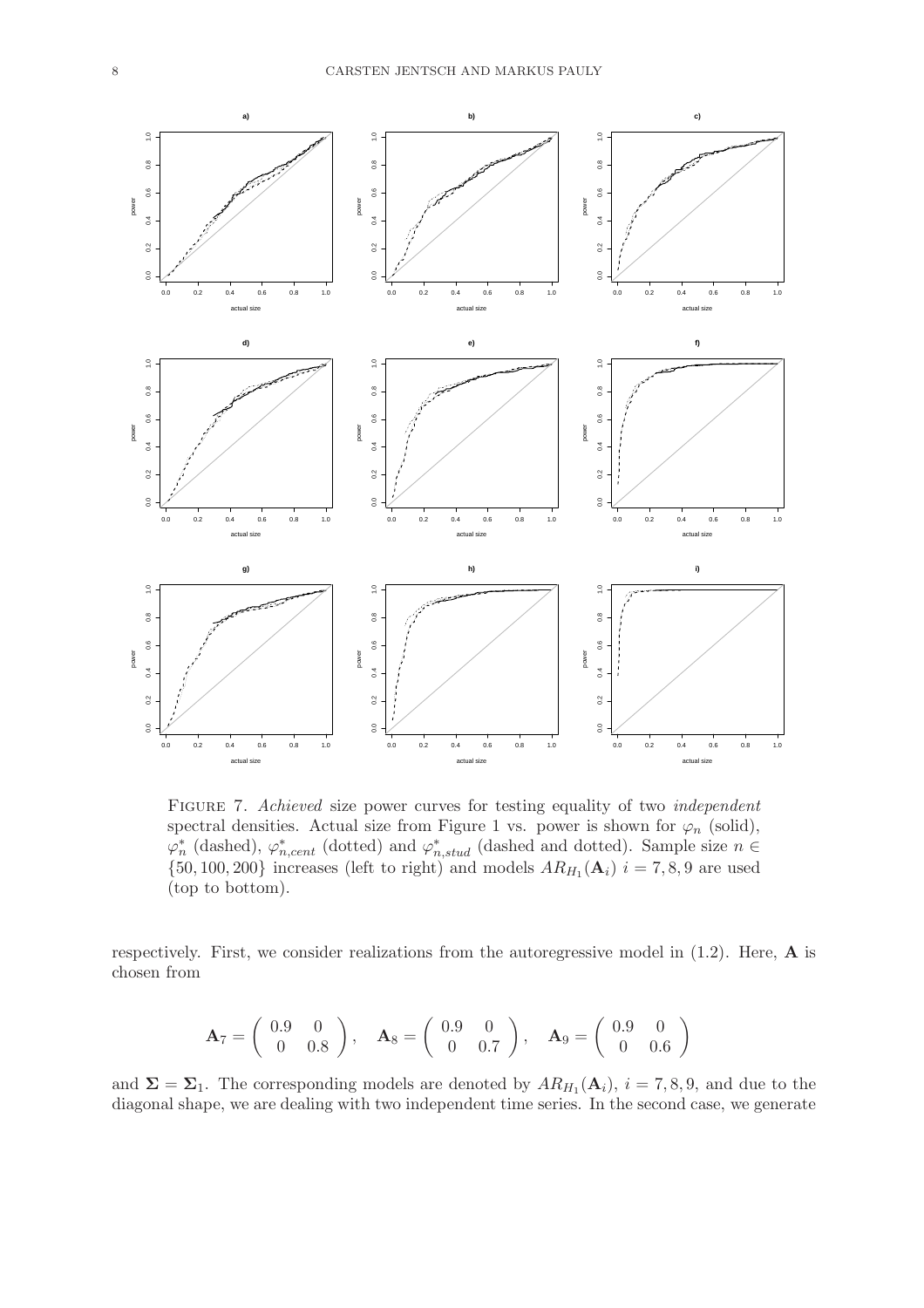

FIGURE 7. Achieved size power curves for testing equality of two *independent* spectral densities. Actual size from Figure 1 vs. power is shown for  $\varphi_n$  (solid),  $\varphi_n^*$ \* (dashed),  $\varphi_{n,cent}^*$  (dotted) and  $\varphi_{n,stud}^*$  (dashed and dotted). Sample size  $n \in$  $\{50, 100, 200\}$  increases (left to right) and models  $AR_{H_1}(\mathbf{A}_i)$   $i = 7, 8, 9$  are used (top to bottom).

respectively. First, we consider realizations from the autoregressive model in  $(1.2)$ . Here,  $\bf{A}$  is chosen from

$$
\mathbf{A}_7 = \left( \begin{array}{cc} 0.9 & 0 \\ 0 & 0.8 \end{array} \right), \quad \mathbf{A}_8 = \left( \begin{array}{cc} 0.9 & 0 \\ 0 & 0.7 \end{array} \right), \quad \mathbf{A}_9 = \left( \begin{array}{cc} 0.9 & 0 \\ 0 & 0.6 \end{array} \right)
$$

and  $\Sigma = \Sigma_1$ . The corresponding models are denoted by  $AR_{H_1}(\mathbf{A}_i)$ ,  $i = 7, 8, 9$ , and due to the diagonal shape, we are dealing with two independent time series. In the second case, we generate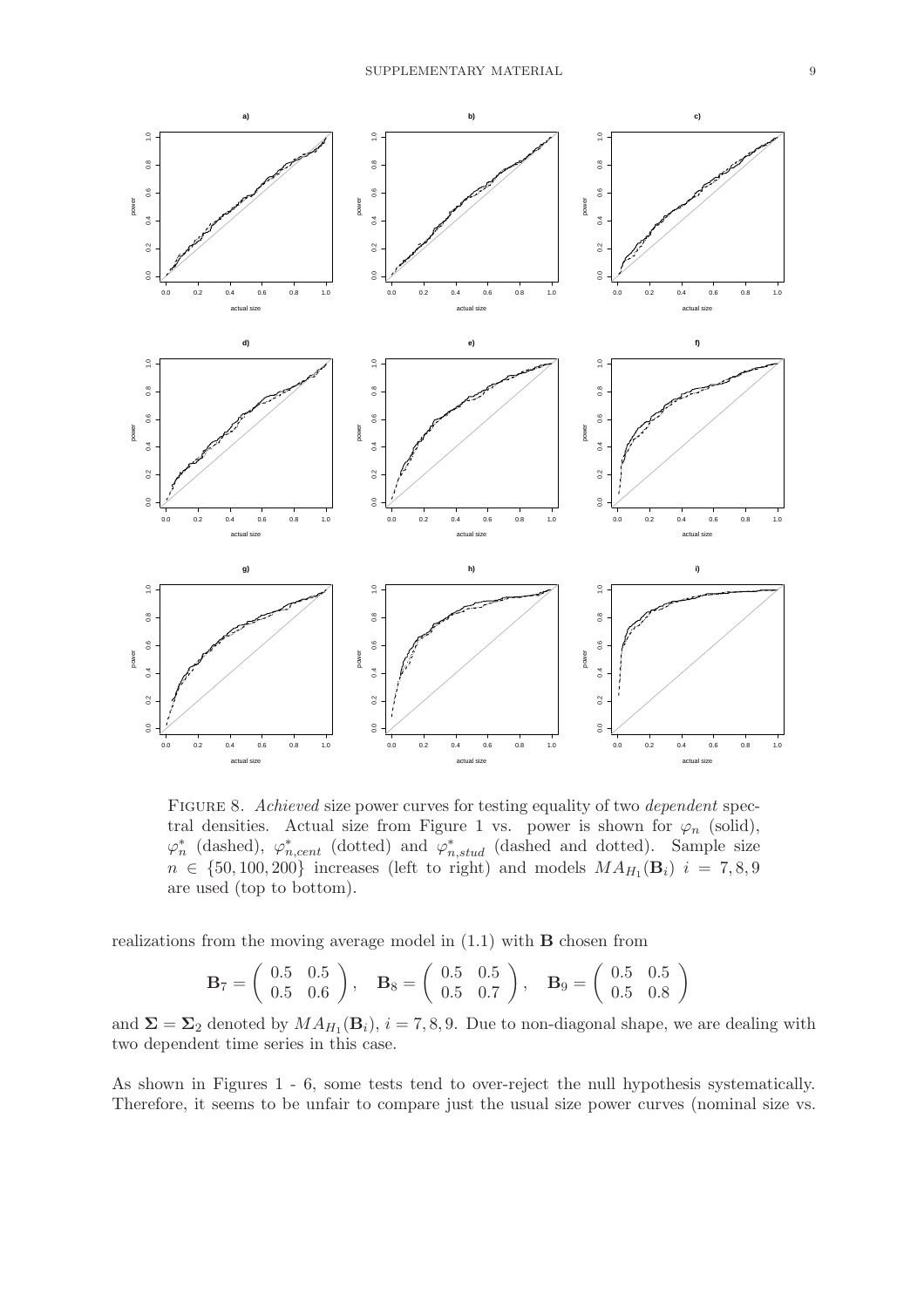

FIGURE 8. Achieved size power curves for testing equality of two dependent spectral densities. Actual size from Figure 1 vs. power is shown for  $\varphi_n$  (solid),  $\varphi_n^*$ \* (dashed),  $\varphi_{n,cent}^{*}$  (dotted) and  $\varphi_{n,stud}^{*}$  (dashed and dotted). Sample size  $n \in \{50, 100, 200\}$  increases (left to right) and models  $MA_{H_1}(\mathbf{B}_i)$   $i = 7, 8, 9$ are used (top to bottom).

realizations from the moving average model in (1.1) with B chosen from

$$
\mathbf{B}_7 = \left( \begin{array}{cc} 0.5 & 0.5 \\ 0.5 & 0.6 \end{array} \right), \quad \mathbf{B}_8 = \left( \begin{array}{cc} 0.5 & 0.5 \\ 0.5 & 0.7 \end{array} \right), \quad \mathbf{B}_9 = \left( \begin{array}{cc} 0.5 & 0.5 \\ 0.5 & 0.8 \end{array} \right)
$$

and  $\Sigma = \Sigma_2$  denoted by  $MA_{H_1}(\mathbf{B}_i)$ ,  $i = 7, 8, 9$ . Due to non-diagonal shape, we are dealing with two dependent time series in this case.

As shown in Figures 1 - 6, some tests tend to over-reject the null hypothesis systematically. Therefore, it seems to be unfair to compare just the usual size power curves (nominal size vs.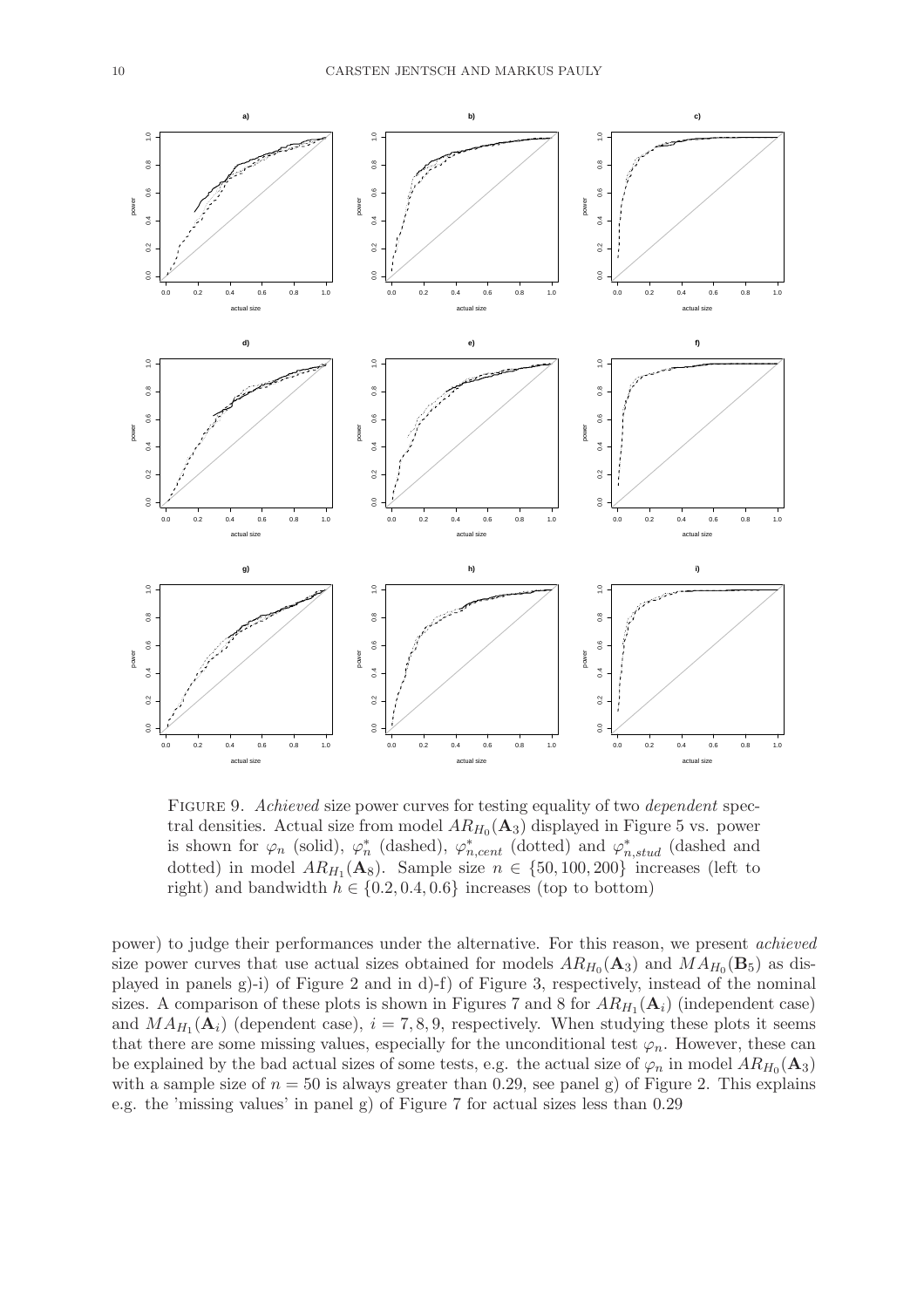

FIGURE 9. Achieved size power curves for testing equality of two dependent spectral densities. Actual size from model  $AR_{H_0}(A_3)$  displayed in Figure 5 vs. power is shown for  $\varphi_n$  (solid),  $\varphi_n^*$ \* (dashed),  $\varphi_{n,cent}^{*}$  (dotted) and  $\varphi_{n,stud}^{*}$  (dashed and dotted) in model  $AR_{H_1}(\mathbf{A}_8)$ . Sample size  $n \in \{50, 100, 200\}$  increases (left to right) and bandwidth  $h \in \{0.2, 0.4, 0.6\}$  increases (top to bottom)

power) to judge their performances under the alternative. For this reason, we present achieved size power curves that use actual sizes obtained for models  $AR_{H_0}(\mathbf{A}_3)$  and  $MA_{H_0}(\mathbf{B}_5)$  as displayed in panels g)-i) of Figure 2 and in d)-f) of Figure 3, respectively, instead of the nominal sizes. A comparison of these plots is shown in Figures 7 and 8 for  $AR_{H_1}(\mathbf{A}_i)$  (independent case) and  $MA_{H_1}(\mathbf{A}_i)$  (dependent case),  $i = 7, 8, 9$ , respectively. When studying these plots it seems that there are some missing values, especially for the unconditional test  $\varphi_n$ . However, these can be explained by the bad actual sizes of some tests, e.g. the actual size of  $\varphi_n$  in model  $AR_{H_0}(A_3)$ with a sample size of  $n = 50$  is always greater than 0.29, see panel g) of Figure 2. This explains e.g. the 'missing values' in panel g) of Figure 7 for actual sizes less than 0.29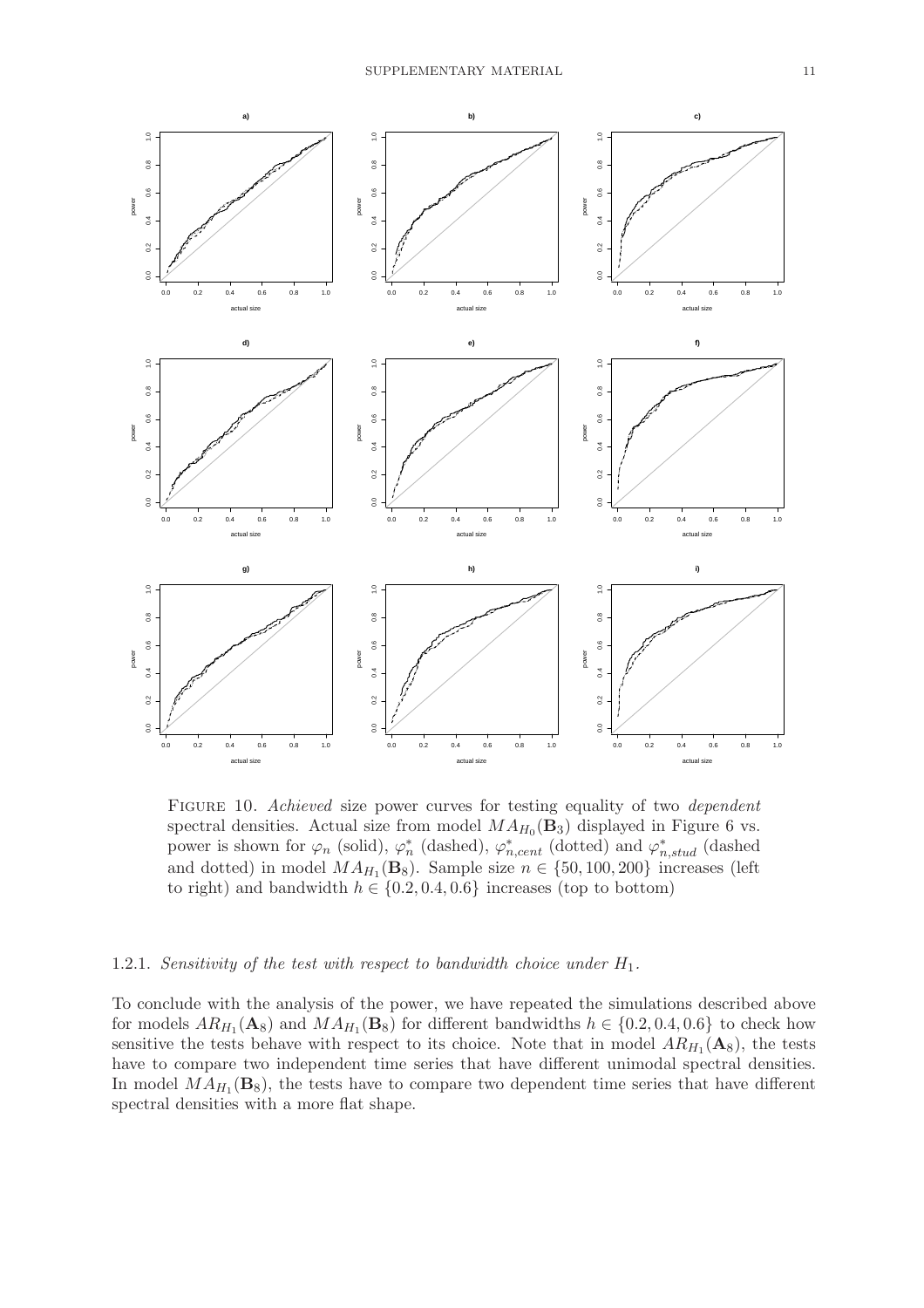

FIGURE 10. Achieved size power curves for testing equality of two *dependent* spectral densities. Actual size from model  $MA_{H_0}(\mathbf{B}_3)$  displayed in Figure 6 vs. power is shown for  $\varphi_n$  (solid),  $\varphi_n^*$ \* (dashed),  $\varphi_{n,cent}^{*}$  (dotted) and  $\varphi_{n,stud}^{*}$  (dashed and dotted) in model  $MA_{H_1}(\mathbf{B}_8)$ . Sample size  $n \in \{50, 100, 200\}$  increases (left to right) and bandwidth  $h \in \{0.2, 0.4, 0.6\}$  increases (top to bottom)

## 1.2.1. Sensitivity of the test with respect to bandwidth choice under  $H_1$ .

To conclude with the analysis of the power, we have repeated the simulations described above for models  $AR_{H_1}(\mathbf{A}_8)$  and  $MA_{H_1}(\mathbf{B}_8)$  for different bandwidths  $h \in \{0.2, 0.4, 0.6\}$  to check how sensitive the tests behave with respect to its choice. Note that in model  $AR_{H_1}(\mathbf{A}_8)$ , the tests have to compare two independent time series that have different unimodal spectral densities. In model  $MA_{H_1}(\mathbf{B}_8)$ , the tests have to compare two dependent time series that have different spectral densities with a more flat shape.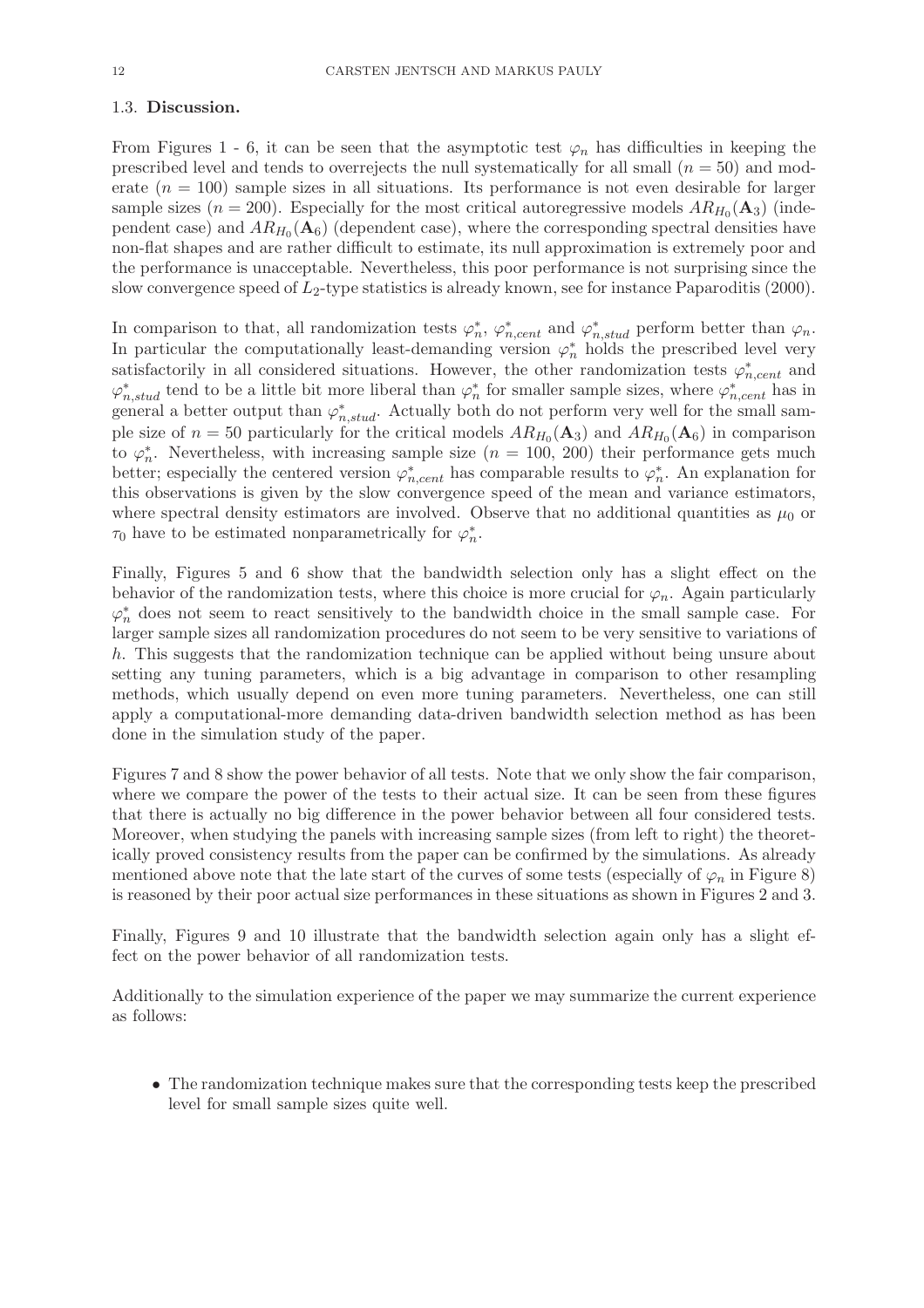## 1.3. Discussion.

From Figures 1 - 6, it can be seen that the asymptotic test  $\varphi_n$  has difficulties in keeping the prescribed level and tends to overrejects the null systematically for all small  $(n = 50)$  and moderate  $(n = 100)$  sample sizes in all situations. Its performance is not even desirable for larger sample sizes ( $n = 200$ ). Especially for the most critical autoregressive models  $AR_{H_0}(A_3)$  (independent case) and  $AR_{H_0}(\mathbf{A}_6)$  (dependent case), where the corresponding spectral densities have non-flat shapes and are rather difficult to estimate, its null approximation is extremely poor and the performance is unacceptable. Nevertheless, this poor performance is not surprising since the slow convergence speed of  $L_2$ -type statistics is already known, see for instance Paparoditis (2000).

In comparison to that, all randomization tests  $\varphi_n^*$ \*,  $\varphi_{n,cent}^*$  and  $\varphi_{n,stud}^*$  perform better than  $\varphi_n$ . In particular the computationally least-demanding version  $\varphi_n^*$  holds the prescribed level very satisfactorily in all considered situations. However, the other randomization tests  $\varphi_{n,cent}^*$  and  $\varphi^*_{n,stud}$  tend to be a little bit more liberal than  $\varphi^*_n$ \* for smaller sample sizes, where  $\varphi_{n,cent}^*$  has in  $\chi_{n,sitad}^{n,sitad}$  a better output than  $\varphi_{n,stud}^{*}$ . Actually both do not perform very well for the small sample size of  $n = 50$  particularly for the critical models  $AR_{H_0}(\mathbf{A}_3)$  and  $AR_{H_0}(\mathbf{A}_6)$  in comparison  $_{\rm{to}}$   $\varphi_n^*$  $_n^*$ . Nevertheless, with increasing sample size  $(n = 100, 200)$  their performance gets much better; especially the centered version  $\varphi_{n,cent}^*$  has comparable results to  $\varphi_n^*$  $\stackrel{*}{n}$ . An explanation for this observations is given by the slow convergence speed of the mean and variance estimators, where spectral density estimators are involved. Observe that no additional quantities as  $\mu_0$  or  $\tau_0$  have to be estimated nonparametrically for  $\varphi_n^*$  $\frac{*}{n}$ .

Finally, Figures 5 and 6 show that the bandwidth selection only has a slight effect on the behavior of the randomization tests, where this choice is more crucial for  $\varphi_n$ . Again particularly  $\varphi_n^*$  does not seem to react sensitively to the bandwidth choice in the small sample case. For larger sample sizes all randomization procedures do not seem to be very sensitive to variations of h. This suggests that the randomization technique can be applied without being unsure about setting any tuning parameters, which is a big advantage in comparison to other resampling methods, which usually depend on even more tuning parameters. Nevertheless, one can still apply a computational-more demanding data-driven bandwidth selection method as has been done in the simulation study of the paper.

Figures 7 and 8 show the power behavior of all tests. Note that we only show the fair comparison, where we compare the power of the tests to their actual size. It can be seen from these figures that there is actually no big difference in the power behavior between all four considered tests. Moreover, when studying the panels with increasing sample sizes (from left to right) the theoretically proved consistency results from the paper can be confirmed by the simulations. As already mentioned above note that the late start of the curves of some tests (especially of  $\varphi_n$  in Figure 8) is reasoned by their poor actual size performances in these situations as shown in Figures 2 and 3.

Finally, Figures 9 and 10 illustrate that the bandwidth selection again only has a slight effect on the power behavior of all randomization tests.

Additionally to the simulation experience of the paper we may summarize the current experience as follows:

• The randomization technique makes sure that the corresponding tests keep the prescribed level for small sample sizes quite well.